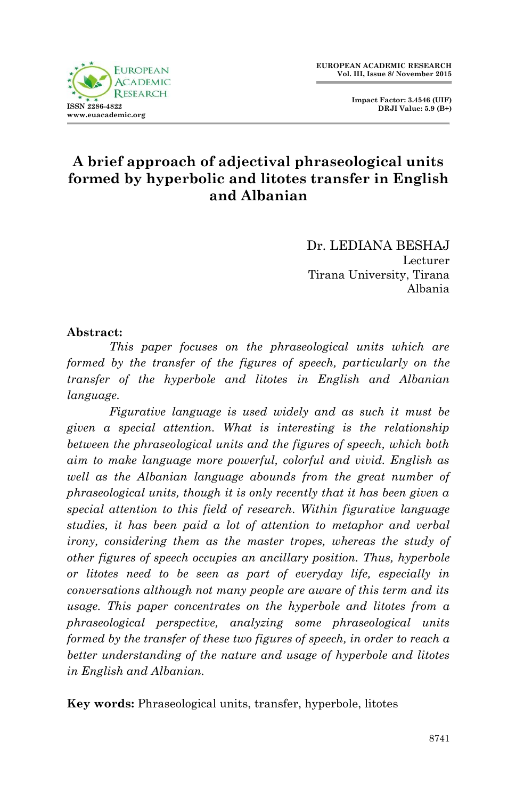

Dr. LEDIANA BESHAJ Lecturer Tirana University, Tirana Albania

#### **Abstract:**

*This paper focuses on the phraseological units which are formed by the transfer of the figures of speech, particularly on the transfer of the hyperbole and litotes in English and Albanian language.*

*Figurative language is used widely and as such it must be given a special attention. What is interesting is the relationship between the phraseological units and the figures of speech, which both aim to make language more powerful, colorful and vivid. English as well as the Albanian language abounds from the great number of phraseological units, though it is only recently that it has been given a special attention to this field of research. Within figurative language studies, it has been paid a lot of attention to metaphor and verbal irony, considering them as the master tropes, whereas the study of other figures of speech occupies an ancillary position. Thus, hyperbole or litotes need to be seen as part of everyday life, especially in conversations although not many people are aware of this term and its usage. This paper concentrates on the hyperbole and litotes from a phraseological perspective, analyzing some phraseological units formed by the transfer of these two figures of speech, in order to reach a better understanding of the nature and usage of hyperbole and litotes in English and Albanian.*

**Key words:** Phraseological units, transfer, hyperbole, litotes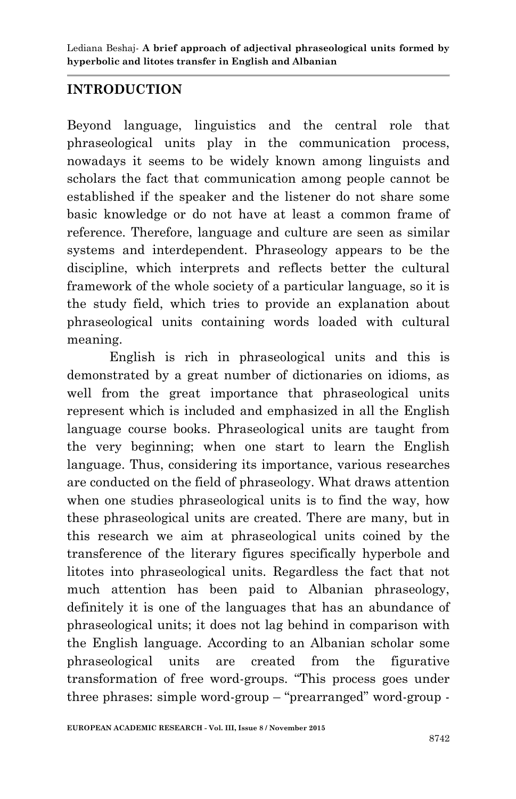#### **INTRODUCTION**

Beyond language, linguistics and the central role that phraseological units play in the communication process, nowadays it seems to be widely known among linguists and scholars the fact that communication among people cannot be established if the speaker and the listener do not share some basic knowledge or do not have at least a common frame of reference. Therefore, language and culture are seen as similar systems and interdependent. Phraseology appears to be the discipline, which interprets and reflects better the cultural framework of the whole society of a particular language, so it is the study field, which tries to provide an explanation about phraseological units containing words loaded with cultural meaning.

English is rich in phraseological units and this is demonstrated by a great number of dictionaries on idioms, as well from the great importance that phraseological units represent which is included and emphasized in all the English language course books. Phraseological units are taught from the very beginning; when one start to learn the English language. Thus, considering its importance, various researches are conducted on the field of phraseology. What draws attention when one studies phraseological units is to find the way, how these phraseological units are created. There are many, but in this research we aim at phraseological units coined by the transference of the literary figures specifically hyperbole and litotes into phraseological units. Regardless the fact that not much attention has been paid to Albanian phraseology, definitely it is one of the languages that has an abundance of phraseological units; it does not lag behind in comparison with the English language. According to an Albanian scholar some phraseological units are created from the figurative transformation of free word-groups. "This process goes under three phrases: simple word-group – "prearranged" word-group -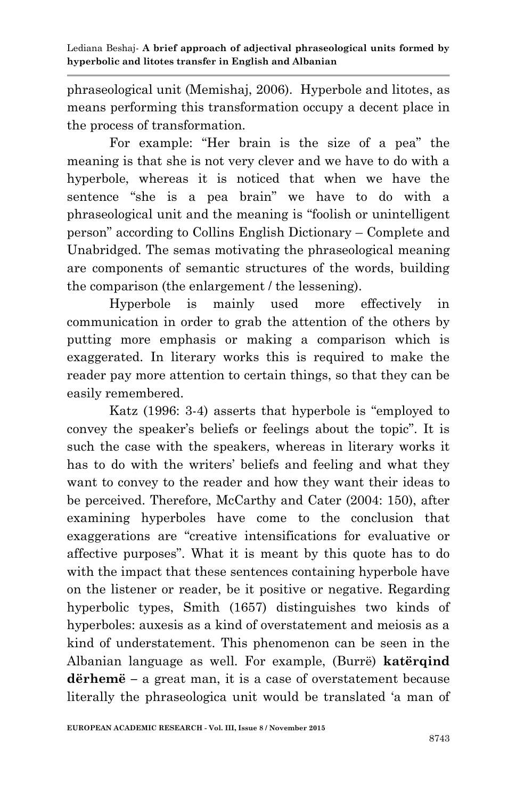phraseological unit (Memishaj, 2006). Hyperbole and litotes, as means performing this transformation occupy a decent place in the process of transformation.

For example: "Her brain is the size of a pea" the meaning is that she is not very clever and we have to do with a hyperbole, whereas it is noticed that when we have the sentence "she is a pea brain" we have to do with a phraseological unit and the meaning is "foolish or unintelligent person" according to Collins English Dictionary – Complete and Unabridged. The semas motivating the phraseological meaning are components of semantic structures of the words, building the comparison (the enlargement / the lessening).

Hyperbole is mainly used more effectively in communication in order to grab the attention of the others by putting more emphasis or making a comparison which is exaggerated. In literary works this is required to make the reader pay more attention to certain things, so that they can be easily remembered.

Katz (1996: 3-4) asserts that hyperbole is "employed to convey the speaker"s beliefs or feelings about the topic". It is such the case with the speakers, whereas in literary works it has to do with the writers' beliefs and feeling and what they want to convey to the reader and how they want their ideas to be perceived. Therefore, McCarthy and Cater (2004: 150), after examining hyperboles have come to the conclusion that exaggerations are "creative intensifications for evaluative or affective purposes". What it is meant by this quote has to do with the impact that these sentences containing hyperbole have on the listener or reader, be it positive or negative. Regarding hyperbolic types, Smith (1657) distinguishes two kinds of hyperboles: auxesis as a kind of overstatement and meiosis as a kind of understatement. This phenomenon can be seen in the Albanian language as well. For example, (Burrë) **katërqind dërhemë –** a great man, it is a case of overstatement because literally the phraseologica unit would be translated 'a man of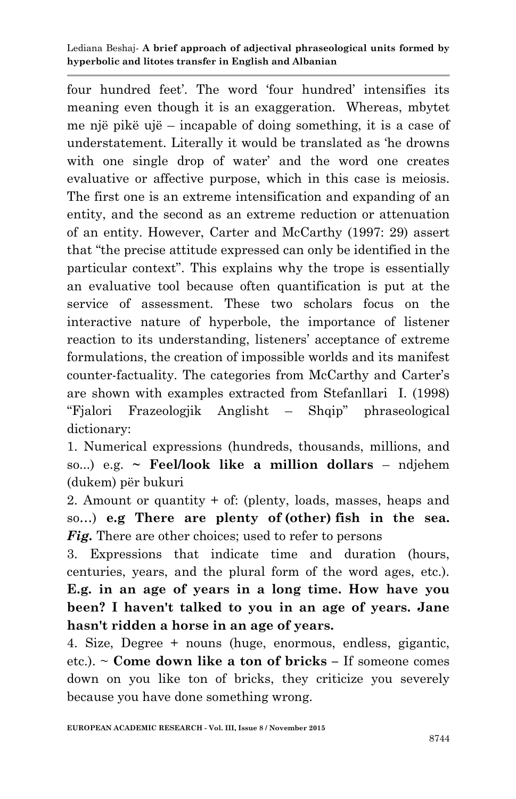four hundred feet'. The word 'four hundred' intensifies its meaning even though it is an exaggeration. Whereas, mbytet me një pikë ujë – incapable of doing something, it is a case of understatement. Literally it would be translated as "he drowns with one single drop of water' and the word one creates evaluative or affective purpose, which in this case is meiosis. The first one is an extreme intensification and expanding of an entity, and the second as an extreme reduction or attenuation of an entity. However, Carter and McCarthy (1997: 29) assert that "the precise attitude expressed can only be identified in the particular context". This explains why the trope is essentially an evaluative tool because often quantification is put at the service of assessment. These two scholars focus on the interactive nature of hyperbole, the importance of listener reaction to its understanding, listeners' acceptance of extreme formulations, the creation of impossible worlds and its manifest counter-factuality. The categories from McCarthy and Carter"s are shown with examples extracted from Stefanllari I. (1998) "Fjalori Frazeologjik Anglisht – Shqip" phraseological dictionary:

1. Numerical expressions (hundreds, thousands, millions, and so...) e.g. **~ Feel/look like a million dollars** – ndjehem (dukem) për bukuri

2. Amount or quantity + of: (plenty, loads, masses, heaps and so…) **e.g There are plenty of (other) fish in the sea.**  *Fig.* There are other choices; used to refer to persons

3. Expressions that indicate time and duration (hours, centuries, years, and the plural form of the word ages, etc.). **E.g. in an age of years in a long time. How have you been? I haven't talked to you in an age of years. Jane hasn't ridden a horse in an age of years.**

4. Size, Degree + nouns (huge, enormous, endless, gigantic, etc.). ~ **Come down like a ton of bricks –** If someone comes down on you like ton of bricks, they criticize you severely because you have done something wrong.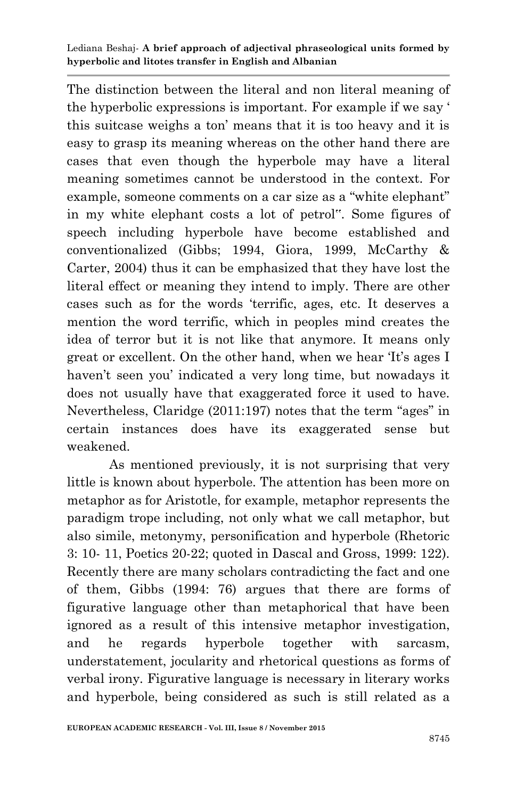The distinction between the literal and non literal meaning of the hyperbolic expressions is important. For example if we say ' this suitcase weighs a ton" means that it is too heavy and it is easy to grasp its meaning whereas on the other hand there are cases that even though the hyperbole may have a literal meaning sometimes cannot be understood in the context. For example, someone comments on a car size as a "white elephant" in my white elephant costs a lot of petrol". Some figures of speech including hyperbole have become established and conventionalized (Gibbs; 1994, Giora, 1999, McCarthy & Carter, 2004) thus it can be emphasized that they have lost the literal effect or meaning they intend to imply. There are other cases such as for the words "terrific, ages, etc. It deserves a mention the word terrific, which in peoples mind creates the idea of terror but it is not like that anymore. It means only great or excellent. On the other hand, when we hear 'It's ages I haven't seen you' indicated a very long time, but nowadays it does not usually have that exaggerated force it used to have. Nevertheless, Claridge (2011:197) notes that the term "ages" in certain instances does have its exaggerated sense but weakened.

As mentioned previously, it is not surprising that very little is known about hyperbole. The attention has been more on metaphor as for Aristotle, for example, metaphor represents the paradigm trope including, not only what we call metaphor, but also simile, metonymy, personification and hyperbole (Rhetoric 3: 10- 11, Poetics 20-22; quoted in Dascal and Gross, 1999: 122). Recently there are many scholars contradicting the fact and one of them, Gibbs (1994: 76) argues that there are forms of figurative language other than metaphorical that have been ignored as a result of this intensive metaphor investigation, and he regards hyperbole together with sarcasm, understatement, jocularity and rhetorical questions as forms of verbal irony. Figurative language is necessary in literary works and hyperbole, being considered as such is still related as a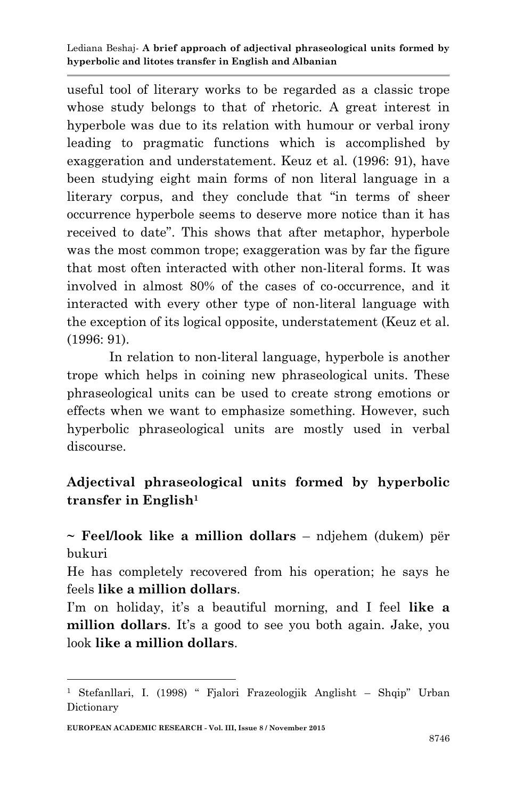useful tool of literary works to be regarded as a classic trope whose study belongs to that of rhetoric. A great interest in hyperbole was due to its relation with humour or verbal irony leading to pragmatic functions which is accomplished by exaggeration and understatement. Keuz et al. (1996: 91), have been studying eight main forms of non literal language in a literary corpus, and they conclude that "in terms of sheer occurrence hyperbole seems to deserve more notice than it has received to date". This shows that after metaphor, hyperbole was the most common trope; exaggeration was by far the figure that most often interacted with other non-literal forms. It was involved in almost 80% of the cases of co-occurrence, and it interacted with every other type of non-literal language with the exception of its logical opposite, understatement (Keuz et al. (1996: 91).

In relation to non-literal language, hyperbole is another trope which helps in coining new phraseological units. These phraseological units can be used to create strong emotions or effects when we want to emphasize something. However, such hyperbolic phraseological units are mostly used in verbal discourse.

### **Adjectival phraseological units formed by hyperbolic transfer in English<sup>1</sup>**

**~ Feel/look like a million dollars** – ndjehem (dukem) për bukuri

He has completely recovered from his operation; he says he feels **like a million dollars**.

I'm on holiday, it's a beautiful morning, and I feel like a **million dollars**. It's a good to see you both again. Jake, you look **like a million dollars**.

-

<sup>1</sup> Stefanllari, I. (1998) " Fjalori Frazeologjik Anglisht – Shqip" Urban Dictionary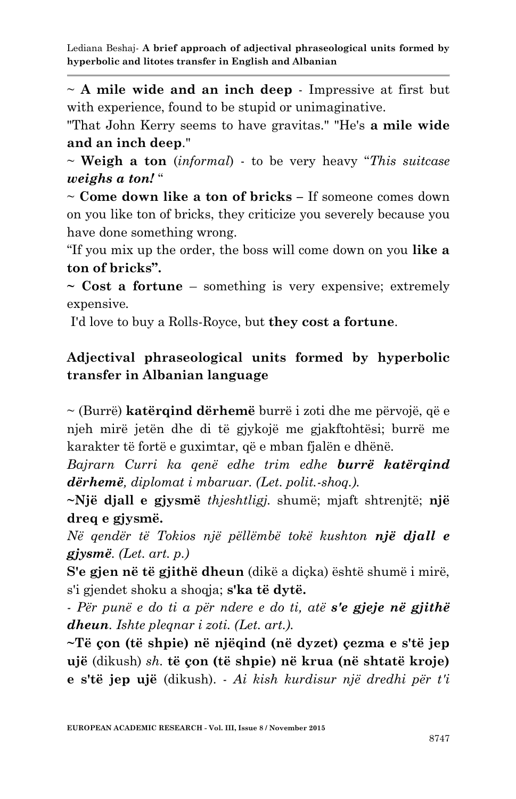~ **A mile wide and an inch deep** - Impressive at first but with experience, found to be stupid or unimaginative.

"That John Kerry seems to have gravitas." "He's **a mile wide and an inch deep**."

~ **Weigh a ton** (*informal*) - to be very heavy "*This suitcase weighs a ton!* "

~ **Come down like a ton of bricks –** If someone comes down on you like ton of bricks, they criticize you severely because you have done something wrong.

"If you mix up the order, the boss will come down on you **like a ton of bricks".** 

**~ Cost a fortune** – something is very expensive; extremely expensive*.*

I'd love to buy a Rolls-Royce, but **they cost a fortune**.

### **Adjectival phraseological units formed by hyperbolic transfer in Albanian language**

~ (Burrë) **katërqind dërhemë** burrë i zoti dhe me përvojë, që e njeh mirë jetën dhe di të gjykojë me gjakftohtësi; burrë me karakter të fortë e guximtar, që e mban fjalën e dhënë.

*Bajrarn Curri ka qenë edhe trim edhe burrë katërqind dërhemë, diplomat i mbaruar. (Let. polit.-shoq.).* 

**~Një djall e gjysmë** *thjeshtligj.* shumë; mjaft shtrenjtë; **një dreq e gjysmë.** 

*Në qendër të Tokios një pëllëmbë tokë kushton një djall e gjysmë. (Let. art. p.)* 

**S'e gjen në të gjithë dheun** (dikë a diçka) është shumë i mirë, s'i gjendet shoku a shoqja; **s'ka të dytë.** 

*- Për punë e do ti a për ndere e do ti, atë s'e gjeje në gjithë dheun. Ishte pleqnar i zoti. (Let. art.).* 

**~Të çon (të shpie) në njëqind (në dyzet) çezma e s'të jep ujë** (dikush) *sh.* **të çon (të shpie) në krua (në shtatë kroje) e s'të jep ujë** (dikush). - *Ai kish kurdisur një dredhi për t'i*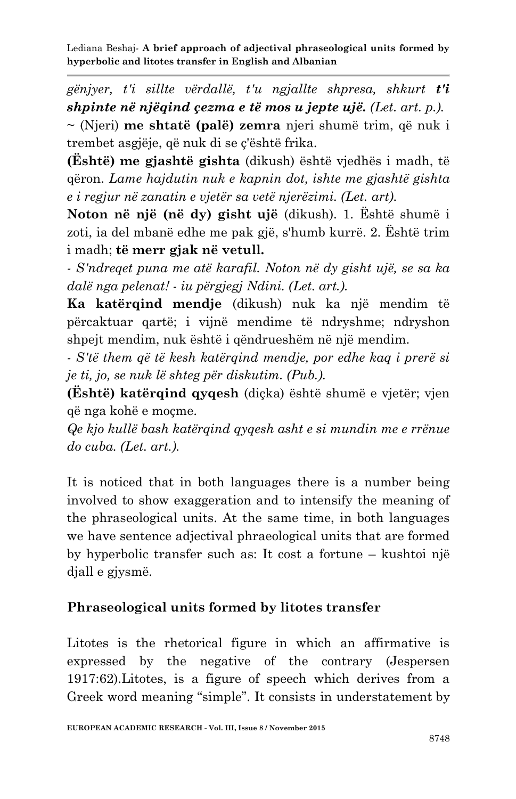*gënjyer, t'i sillte vërdallë, t'u ngjallte shpresa, shkurt t'i shpinte në njëqind çezma e të mos u jepte ujë. (Let. art. p.).* 

~ (Njeri) **me shtatë (palë) zemra** njeri shumë trim, që nuk i trembet asgjëje, që nuk di se ç'është frika.

**(Është) me gjashtë gishta** (dikush) është vjedhës i madh, të qëron. *Lame hajdutin nuk e kapnin dot, ishte me gjashtë gishta e i regjur në zanatin e vjetër sa vetë njerëzimi. (Let. art).* 

**Noton në një (në dy) gisht ujë** (dikush). 1. Është shumë i zoti, ia del mbanë edhe me pak gjë, s'humb kurrë. 2. Është trim i madh; **të merr gjak në vetull.**

*- S'ndreqet puna me atë karafil. Noton në dy gisht ujë, se sa ka dalë nga pelenat! - iu përgjegj Ndini. (Let. art.).*

**Ka katërqind mendje** (dikush) nuk ka një mendim të përcaktuar qartë; i vijnë mendime të ndryshme; ndryshon shpejt mendim, nuk është i qëndrueshëm në një mendim.

*- S'të them që të kesh katërqind mendje, por edhe kaq i prerë si je ti, jo, se nuk lë shteg për diskutim. (Pub.).*

**(Është) katërqind qyqesh** (diçka) është shumë e vjetër; vjen që nga kohë e moçme.

*Qe kjo kullë bash katërqind qyqesh asht e si mundin me e rrënue do cuba. (Let. art.).*

It is noticed that in both languages there is a number being involved to show exaggeration and to intensify the meaning of the phraseological units. At the same time, in both languages we have sentence adjectival phraeological units that are formed by hyperbolic transfer such as: It cost a fortune – kushtoi një djall e gjysmë.

## **Phraseological units formed by litotes transfer**

Litotes is the rhetorical figure in which an affirmative is expressed by the negative of the contrary (Jespersen 1917:62).Litotes, is a figure of speech which derives from a Greek word meaning "simple". It consists in understatement by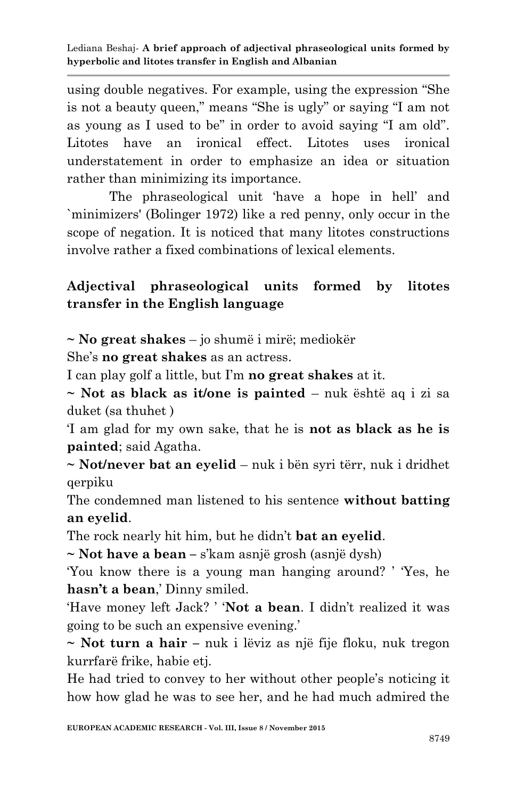using double negatives. For example, using the expression "She is not a beauty queen," means "She is ugly" or saying "I am not as young as I used to be" in order to avoid saying "I am old". Litotes have an ironical effect. Litotes uses ironical understatement in order to emphasize an idea or situation rather than minimizing its importance.

The phraseological unit "have a hope in hell" and `minimizers' (Bolinger 1972) like a red penny, only occur in the scope of negation. It is noticed that many litotes constructions involve rather a fixed combinations of lexical elements.

# **Adjectival phraseological units formed by litotes transfer in the English language**

**~ No great shakes** – jo shumë i mirë; mediokër

She"s **no great shakes** as an actress.

I can play golf a little, but I"m **no great shakes** at it.

**~ Not as black as it/one is painted** – nuk është aq i zi sa duket (sa thuhet )

"I am glad for my own sake, that he is **not as black as he is painted**; said Agatha.

**~ Not/never bat an eyelid** – nuk i bën syri tërr, nuk i dridhet qerpiku

The condemned man listened to his sentence **without batting an eyelid**.

The rock nearly hit him, but he didn"t **bat an eyelid**.

**~ Not have a bean –** s"kam asnjë grosh (asnjë dysh)

"You know there is a young man hanging around? " "Yes, he hasn't a bean,' Dinny smiled.

"Have money left Jack? " "**Not a bean**. I didn"t realized it was going to be such an expensive evening."

**~ Not turn a hair –** nuk i lëviz as një fije floku, nuk tregon kurrfarë frike, habie etj.

He had tried to convey to her without other people"s noticing it how how glad he was to see her, and he had much admired the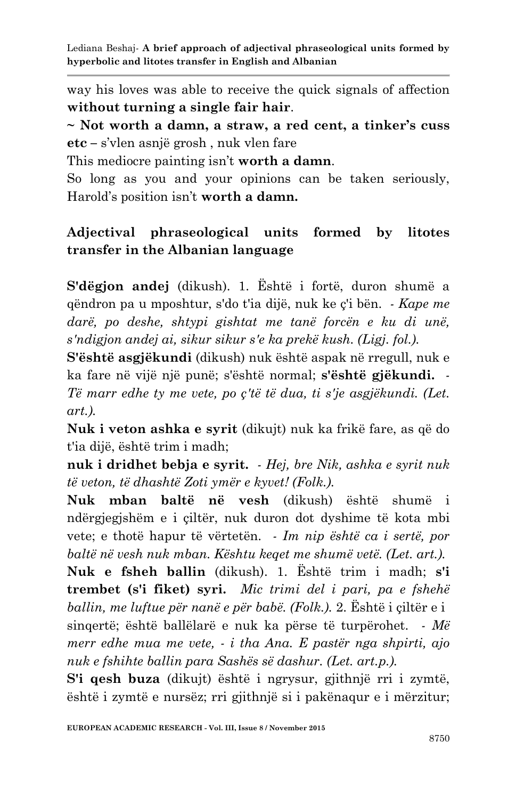way his loves was able to receive the quick signals of affection **without turning a single fair hair**.

**~ Not worth a damn, a straw, a red cent, a tinker's cuss etc –** s"vlen asnjë grosh , nuk vlen fare

This mediocre painting isn"t **worth a damn**.

So long as you and your opinions can be taken seriously, Harold"s position isn"t **worth a damn.** 

# **Adjectival phraseological units formed by litotes transfer in the Albanian language**

**S'dëgjon andej** (dikush). 1. Është i fortë, duron shumë a qëndron pa u mposhtur, s'do t'ia dijë, nuk ke ç'i bën. *- Kape me darë, po deshe, shtypi gishtat me tanë forcën e ku di unë, s'ndigjon andej ai, sikur sikur s'e ka prekë kush. (Ligj. fol.).*

**S'është asgjëkundi** (dikush) nuk është aspak në rregull, nuk e ka fare në vijë një punë; s'është normal; **s'është gjëkundi.** *- Të marr edhe ty me vete, po ç'të të dua, ti s'je asgjëkundi. (Let. art.).*

**Nuk i veton ashka e syrit** (dikujt) nuk ka frikë fare, as që do t'ia dijë, është trim i madh;

**nuk i dridhet bebja e syrit.** *- Hej, bre Nik, ashka e syrit nuk të veton, të dhashtë Zoti ymër e kyvet! (Folk.).*

**Nuk mban baltë në vesh** (dikush) është shumë i ndërgjegjshëm e i çiltër, nuk duron dot dyshime të kota mbi vete; e thotë hapur të vërtetën. *- Im nip është ca i sertë, por baltë në vesh nuk mban. Kështu keqet me shumë vetë. (Let. art.).*

**Nuk e fsheh ballin** (dikush). 1. Është trim i madh; **s'i trembet (s'i fiket) syri.** *Mic trimi del i pari, pa e fshehë ballin, me luftue për nanë e për babë. (Folk.).* 2. Është i çiltër e i sinqertë; është ballëlarë e nuk ka përse të turpërohet. *- Më merr edhe mua me vete, - i tha Ana. E pastër nga shpirti, ajo nuk e fshihte ballin para Sashës së dashur. (Let. art.p.).*

**S'i qesh buza** (dikujt) është i ngrysur, gjithnjë rri i zymtë, është i zymtë e nursëz; rri gjithnjë si i pakënaqur e i mërzitur;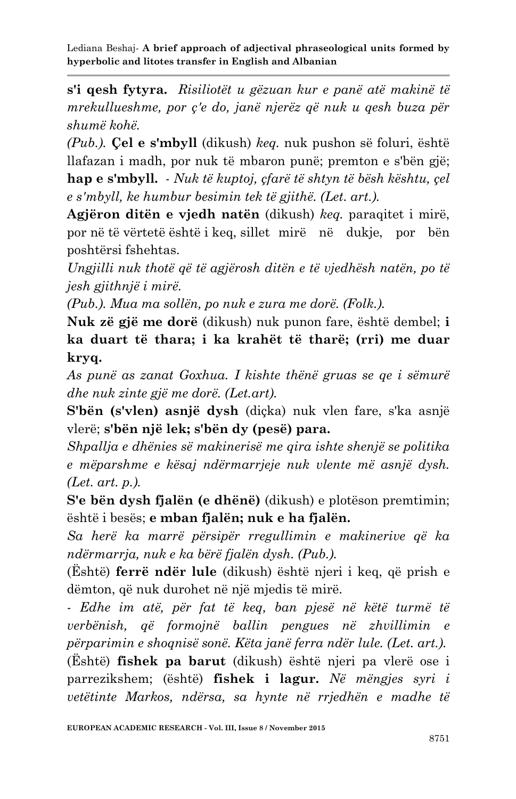**s'i qesh fytyra.** *Risiliotët u gëzuan kur e panë atë makinë të mrekullueshme, por ç'e do, janë njerëz që nuk u qesh buza për shumë kohë.* 

*(Pub.).* **Çel e s'mbyll** (dikush) *keq.* nuk pushon së foluri, është llafazan i madh, por nuk të mbaron punë; premton e s'bën gjë; **hap e s'mbyll.** *- Nuk të kuptoj, çfarë të shtyn të bësh kështu, çel e s'mbyll, ke humbur besimin tek të gjithë. (Let. art.).*

**Agjëron ditën e vjedh natën** (dikush) *keq.* paraqitet i mirë, por në të vërtetë është i keq, sillet mirë në dukje, por bën poshtërsi fshehtas.

*Ungjilli nuk thotë që të agjërosh ditën e të vjedhësh natën, po të jesh gjithnjë i mirë.* 

*(Pub.). Mua ma sollën, po nuk e zura me dorë. (Folk.).*

**Nuk zë gjë me dorë** (dikush) nuk punon fare, është dembel; **i ka duart të thara; i ka krahët të tharë; (rri) me duar kryq.**

*As punë as zanat Goxhua. I kishte thënë gruas se qe i sëmurë dhe nuk zinte gjë me dorë. (Let.art).* 

**S'bën (s'vlen) asnjë dysh** (diçka) nuk vlen fare, s'ka asnjë vlerë; **s'bën një lek; s'bën dy (pesë) para.**

*Shpallja e dhënies së makinerisë me qira ishte shenjë se politika e mëparshme e kësaj ndërmarrjeje nuk vlente më asnjë dysh. (Let. art. p.).* 

**S'e bën dysh fjalën (e dhënë)** (dikush) e plotëson premtimin; është i besës; **e mban fjalën; nuk e ha fjalën.**

*Sa herë ka marrë përsipër rregullimin e makinerive që ka ndërmarrja, nuk e ka bërë fjalën dysh. (Pub.).*

(Është) **ferrë ndër lule** (dikush) është njeri i keq, që prish e dëmton, që nuk durohet në një mjedis të mirë.

*- Edhe im atë, për fat të keq, ban pjesë në këtë turmë të verbënish, që formojnë ballin pengues në zhvillimin e përparimin e shoqnisë sonë. Këta janë ferra ndër lule. (Let. art.).*  (Është) **fishek pa barut** (dikush) është njeri pa vlerë ose i parrezikshem; (është) **fishek i lagur.** *Në mëngjes syri i vetëtinte Markos, ndërsa, sa hynte në rrjedhën e madhe të*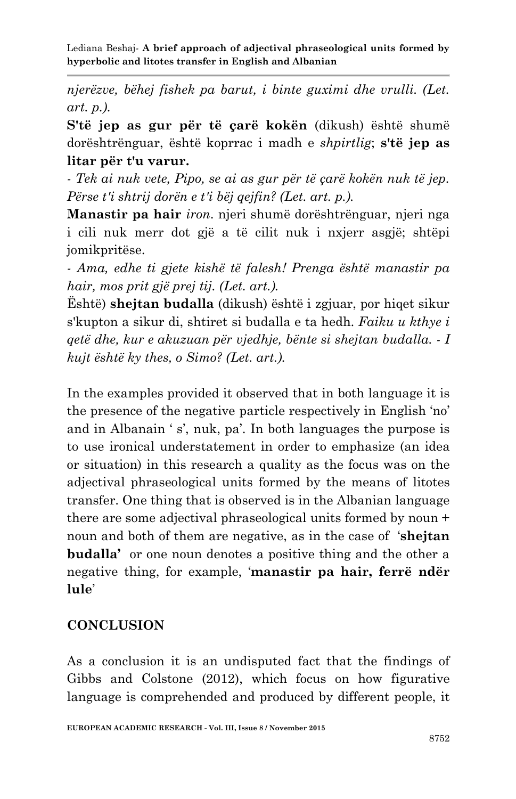*njerëzve, bëhej fishek pa barut, i binte guximi dhe vrulli. (Let. art. p.).* 

**S'të jep as gur për të çarë kokën** (dikush) është shumë dorështrënguar, është koprrac i madh e *shpirtlig*; **s'të jep as litar për t'u varur.**

*- Tek ai nuk vete, Pipo, se ai as gur për të çarë kokën nuk të jep. Përse t'i shtrij dorën e t'i bëj qejfin? (Let. art. p.).* 

**Manastir pa hair** *iron*. njeri shumë dorështrënguar, njeri nga i cili nuk merr dot gjë a të cilit nuk i nxjerr asgjë; shtëpi jomikpritëse.

*- Ama, edhe ti gjete kishë të falesh! Prenga është manastir pa hair, mos prit gjë prej tij. (Let. art.).*

Është) **shejtan budalla** (dikush) është i zgjuar, por hiqet sikur s'kupton a sikur di, shtiret si budalla e ta hedh. *Faiku u kthye i qetë dhe, kur e akuzuan për vjedhje, bënte si shejtan budalla. - I kujt është ky thes, o Simo? (Let. art.).*

In the examples provided it observed that in both language it is the presence of the negative particle respectively in English "no" and in Albanain 's', nuk, pa'. In both languages the purpose is to use ironical understatement in order to emphasize (an idea or situation) in this research a quality as the focus was on the adjectival phraseological units formed by the means of litotes transfer. One thing that is observed is in the Albanian language there are some adjectival phraseological units formed by noun + noun and both of them are negative, as in the case of "**shejtan budalla'** or one noun denotes a positive thing and the other a negative thing, for example, "**manastir pa hair, ferrë ndër lule**"

#### **CONCLUSION**

As a conclusion it is an undisputed fact that the findings of Gibbs and Colstone (2012), which focus on how figurative language is comprehended and produced by different people, it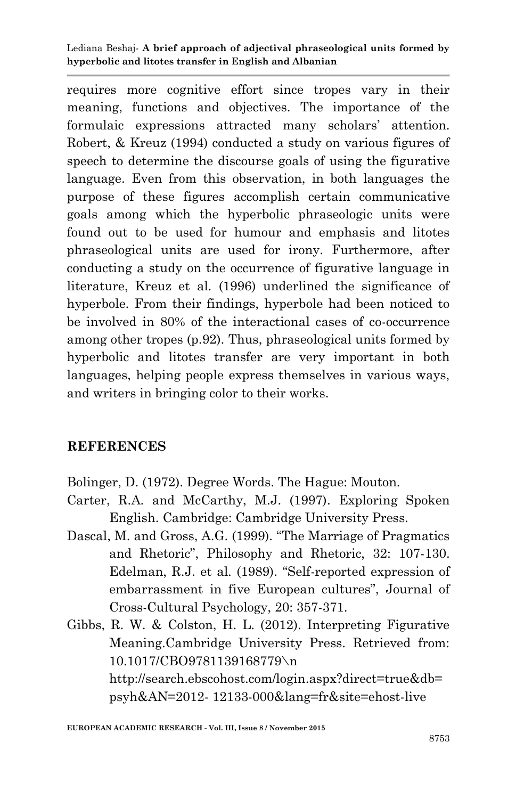requires more cognitive effort since tropes vary in their meaning, functions and objectives. The importance of the formulaic expressions attracted many scholars' attention. Robert, & Kreuz (1994) conducted a study on various figures of speech to determine the discourse goals of using the figurative language. Even from this observation, in both languages the purpose of these figures accomplish certain communicative goals among which the hyperbolic phraseologic units were found out to be used for humour and emphasis and litotes phraseological units are used for irony. Furthermore, after conducting a study on the occurrence of figurative language in literature, Kreuz et al. (1996) underlined the significance of hyperbole. From their findings, hyperbole had been noticed to be involved in 80% of the interactional cases of co-occurrence among other tropes (p.92). Thus, phraseological units formed by hyperbolic and litotes transfer are very important in both languages, helping people express themselves in various ways, and writers in bringing color to their works.

#### **REFERENCES**

Bolinger, D. (1972). Degree Words. The Hague: Mouton.

- Carter, R.A. and McCarthy, M.J. (1997). Exploring Spoken English. Cambridge: Cambridge University Press.
- Dascal, M. and Gross, A.G. (1999). "The Marriage of Pragmatics and Rhetoric", Philosophy and Rhetoric, 32: 107-130. Edelman, R.J. et al. (1989). "Self-reported expression of embarrassment in five European cultures", Journal of Cross-Cultural Psychology, 20: 357-371.
- Gibbs, R. W. & Colston, H. L. (2012). Interpreting Figurative Meaning.Cambridge University Press. Retrieved from: 10.1017/CBO9781139168779\n http://search.ebscohost.com/login.aspx?direct=true&db= psyh&AN=2012- 12133-000&lang=fr&site=ehost-live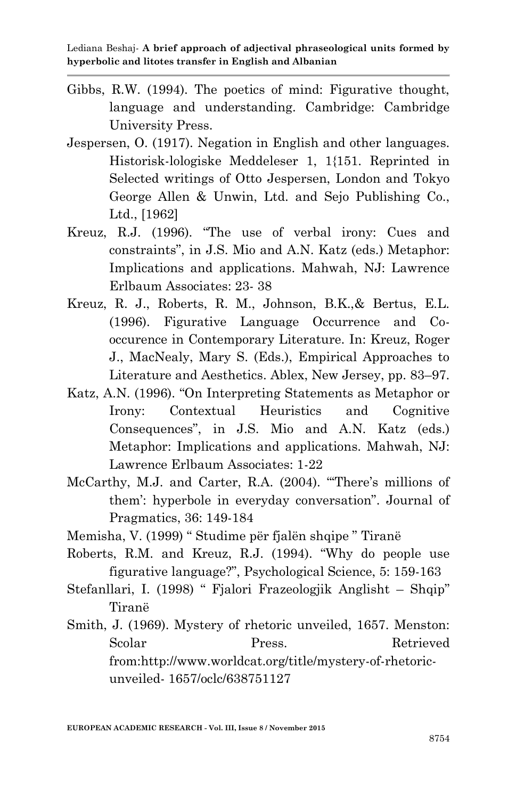- Gibbs, R.W. (1994). The poetics of mind: Figurative thought, language and understanding. Cambridge: Cambridge University Press.
- Jespersen, O. (1917). Negation in English and other languages. Historisk-lologiske Meddeleser 1, 1{151. Reprinted in Selected writings of Otto Jespersen, London and Tokyo George Allen & Unwin, Ltd. and Sejo Publishing Co., Ltd., [1962]
- Kreuz, R.J. (1996). "The use of verbal irony: Cues and constraints", in J.S. Mio and A.N. Katz (eds.) Metaphor: Implications and applications. Mahwah, NJ: Lawrence Erlbaum Associates: 23- 38
- Kreuz, R. J., Roberts, R. M., Johnson, B.K.,& Bertus, E.L. (1996). Figurative Language Occurrence and Cooccurence in Contemporary Literature. In: Kreuz, Roger J., MacNealy, Mary S. (Eds.), Empirical Approaches to Literature and Aesthetics. Ablex, New Jersey, pp. 83–97.
- Katz, A.N. (1996). "On Interpreting Statements as Metaphor or Irony: Contextual Heuristics and Cognitive Consequences", in J.S. Mio and A.N. Katz (eds.) Metaphor: Implications and applications. Mahwah, NJ: Lawrence Erlbaum Associates: 1-22
- McCarthy, M.J. and Carter, R.A. (2004). "There's millions of them": hyperbole in everyday conversation". Journal of Pragmatics, 36: 149-184
- Memisha, V. (1999) " Studime për fjalën shqipe " Tiranë
- Roberts, R.M. and Kreuz, R.J. (1994). "Why do people use figurative language?", Psychological Science, 5: 159-163
- Stefanllari, I. (1998) " Fjalori Frazeologjik Anglisht Shqip" Tiranë
- Smith, J. (1969). Mystery of rhetoric unveiled, 1657. Menston: Scolar Press. Retrieved from:http://www.worldcat.org/title/mystery-of-rhetoricunveiled- 1657/oclc/638751127